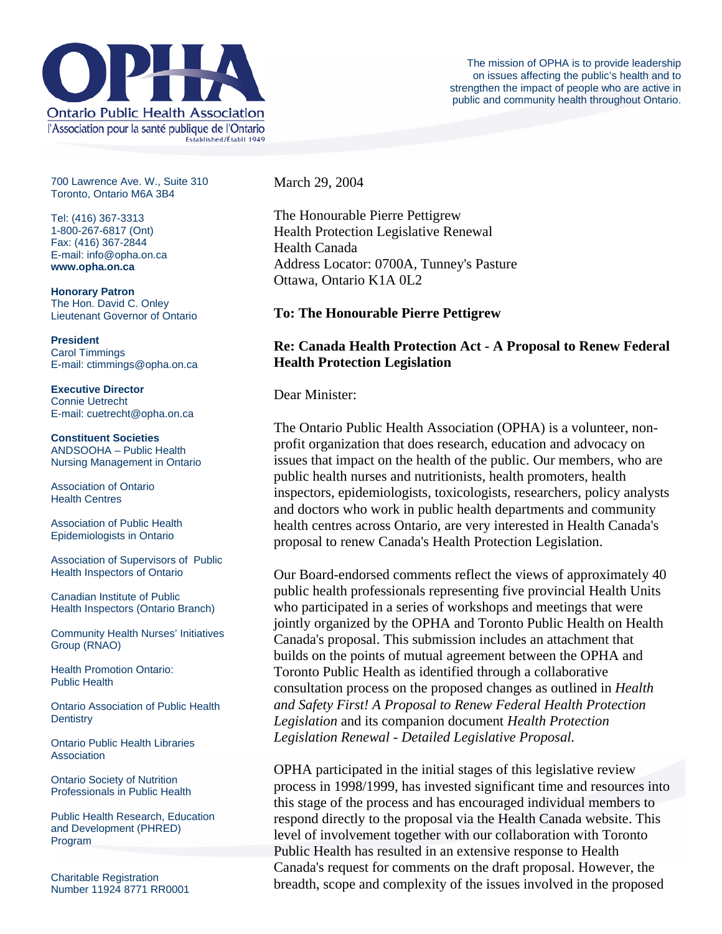

700 Lawrence Ave. W., Suite 310 Toronto, Ontario M6A 3B4

Tel: (416) 367-3313 1-800-267-6817 (Ont) Fax: (416) 367-2844 E-mail: info@opha.on.ca **www.opha.on.ca** 

**Honorary Patron**  The Hon. David C. Onley Lieutenant Governor of Ontario

**President**  Carol Timmings E-mail: ctimmings@opha.on.ca

**Executive Director**  Connie Uetrecht E-mail: cuetrecht@opha.on.ca

**Constituent Societies**  ANDSOOHA – Public Health Nursing Management in Ontario

Association of Ontario Health Centres

Association of Public Health Epidemiologists in Ontario

Association of Supervisors of Public Health Inspectors of Ontario

Canadian Institute of Public Health Inspectors (Ontario Branch)

Community Health Nurses' Initiatives Group (RNAO)

Health Promotion Ontario: Public Health

Ontario Association of Public Health **Dentistry** 

Ontario Public Health Libraries **Association** 

Ontario Society of Nutrition Professionals in Public Health

Public Health Research, Education and Development (PHRED) Program

Charitable Registration Number 11924 8771 RR0001 March 29, 2004

The Honourable Pierre Pettigrew Health Protection Legislative Renewal Health Canada Address Locator: 0700A, Tunney's Pasture Ottawa, Ontario K1A 0L2

### **To: The Honourable Pierre Pettigrew**

# **Re: Canada Health Protection Act - A Proposal to Renew Federal Health Protection Legislation**

Dear Minister:

The Ontario Public Health Association (OPHA) is a volunteer, nonprofit organization that does research, education and advocacy on issues that impact on the health of the public. Our members, who are public health nurses and nutritionists, health promoters, health inspectors, epidemiologists, toxicologists, researchers, policy analysts and doctors who work in public health departments and community health centres across Ontario, are very interested in Health Canada's proposal to renew Canada's Health Protection Legislation.

Our Board-endorsed comments reflect the views of approximately 40 public health professionals representing five provincial Health Units who participated in a series of workshops and meetings that were jointly organized by the OPHA and Toronto Public Health on Health Canada's proposal. This submission includes an attachment that builds on the points of mutual agreement between the OPHA and Toronto Public Health as identified through a collaborative consultation process on the proposed changes as outlined in *Health and Safety First! A Proposal to Renew Federal Health Protection Legislation* and its companion document *Health Protection Legislation Renewal - Detailed Legislative Proposal.* 

OPHA participated in the initial stages of this legislative review process in 1998/1999, has invested significant time and resources into this stage of the process and has encouraged individual members to respond directly to the proposal via the Health Canada website. This level of involvement together with our collaboration with Toronto Public Health has resulted in an extensive response to Health Canada's request for comments on the draft proposal. However, the breadth, scope and complexity of the issues involved in the proposed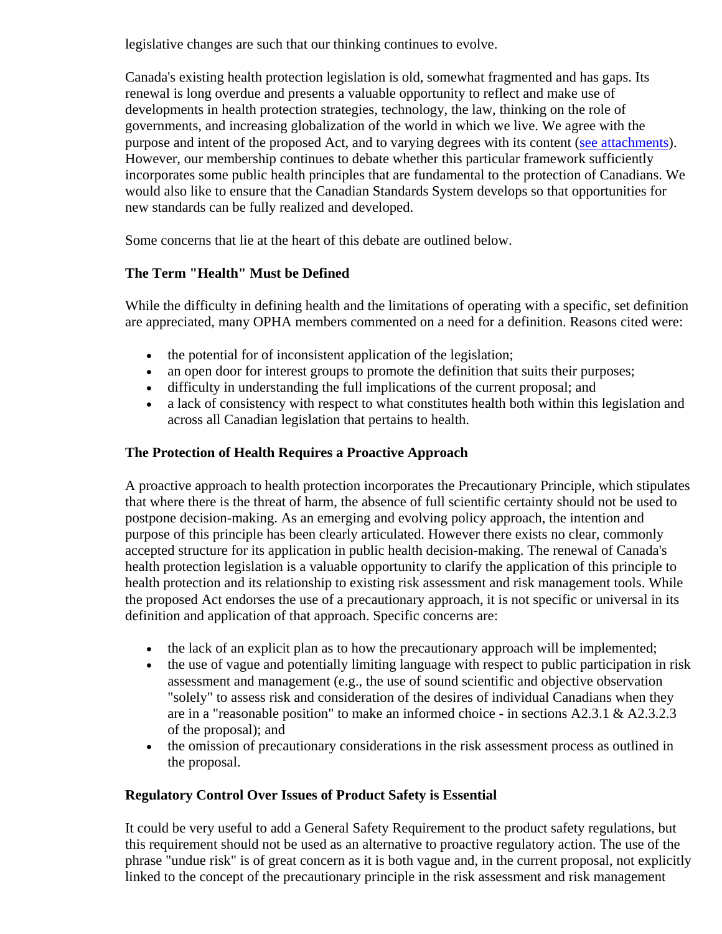legislative changes are such that our thinking continues to evolve.

Canada's existing health protection legislation is old, somewhat fragmented and has gaps. Its renewal is long overdue and presents a valuable opportunity to reflect and make use of developments in health protection strategies, technology, the law, thinking on the role of governments, and increasing globalization of the world in which we live. We agree with the purpose and intent of the proposed Act, and to varying degrees with its content ([see attachments](http://www.opha.on.ca/advocacy/hpa/response.html)). However, our membership continues to debate whether this particular framework sufficiently incorporates some public health principles that are fundamental to the protection of Canadians. We would also like to ensure that the Canadian Standards System develops so that opportunities for new standards can be fully realized and developed.

Some concerns that lie at the heart of this debate are outlined below.

# **The Term "Health" Must be Defined**

While the difficulty in defining health and the limitations of operating with a specific, set definition are appreciated, many OPHA members commented on a need for a definition. Reasons cited were:

- the potential for of inconsistent application of the legislation;
- an open door for interest groups to promote the definition that suits their purposes;
- difficulty in understanding the full implications of the current proposal; and
- a lack of consistency with respect to what constitutes health both within this legislation and across all Canadian legislation that pertains to health.

# **The Protection of Health Requires a Proactive Approach**

A proactive approach to health protection incorporates the Precautionary Principle, which stipulates that where there is the threat of harm, the absence of full scientific certainty should not be used to postpone decision-making. As an emerging and evolving policy approach, the intention and purpose of this principle has been clearly articulated. However there exists no clear, commonly accepted structure for its application in public health decision-making. The renewal of Canada's health protection legislation is a valuable opportunity to clarify the application of this principle to health protection and its relationship to existing risk assessment and risk management tools. While the proposed Act endorses the use of a precautionary approach, it is not specific or universal in its definition and application of that approach. Specific concerns are:

- the lack of an explicit plan as to how the precautionary approach will be implemented;
- the use of vague and potentially limiting language with respect to public participation in risk assessment and management (e.g., the use of sound scientific and objective observation "solely" to assess risk and consideration of the desires of individual Canadians when they are in a "reasonable position" to make an informed choice - in sections A2.3.1 & A2.3.2.3 of the proposal); and
- the omission of precautionary considerations in the risk assessment process as outlined in the proposal.

### **Regulatory Control Over Issues of Product Safety is Essential**

It could be very useful to add a General Safety Requirement to the product safety regulations, but this requirement should not be used as an alternative to proactive regulatory action. The use of the phrase "undue risk" is of great concern as it is both vague and, in the current proposal, not explicitly linked to the concept of the precautionary principle in the risk assessment and risk management